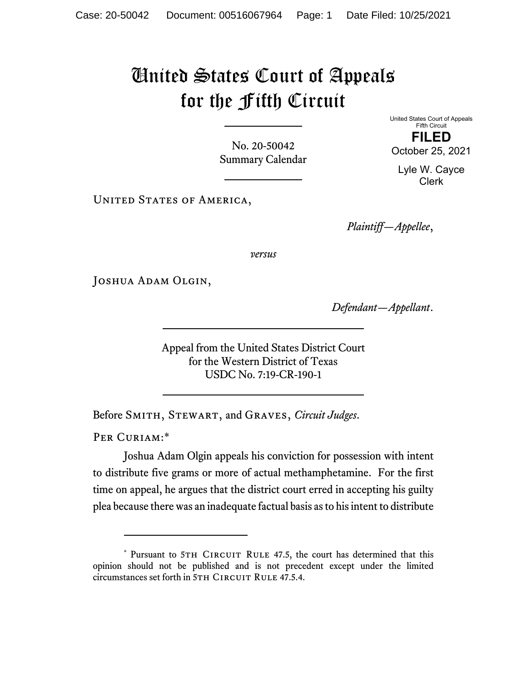## United States Court of Appeals for the Fifth Circuit

No. 20-50042 Summary Calendar United States Court of Appeals Fifth Circuit **FILED** 

October 25, 2021

Lyle W. Cayce Clerk

UNITED STATES OF AMERICA,

*Plaintiff—Appellee*,

*versus*

Joshua Adam Olgin,

*Defendant—Appellant*.

Appeal from the United States District Court for the Western District of Texas USDC No. 7:19-CR-190-1

Before Smith, Stewart, and Graves, *Circuit Judges*.

PER CURIAM:\*

Joshua Adam Olgin appeals his conviction for possession with intent to distribute five grams or more of actual methamphetamine. For the first time on appeal, he argues that the district court erred in accepting his guilty plea because there was an inadequate factual basis as to his intent to distribute

<sup>\*</sup> Pursuant to 5TH CIRCUIT RULE 47.5, the court has determined that this opinion should not be published and is not precedent except under the limited circumstances set forth in 5TH CIRCUIT RULE 47.5.4.